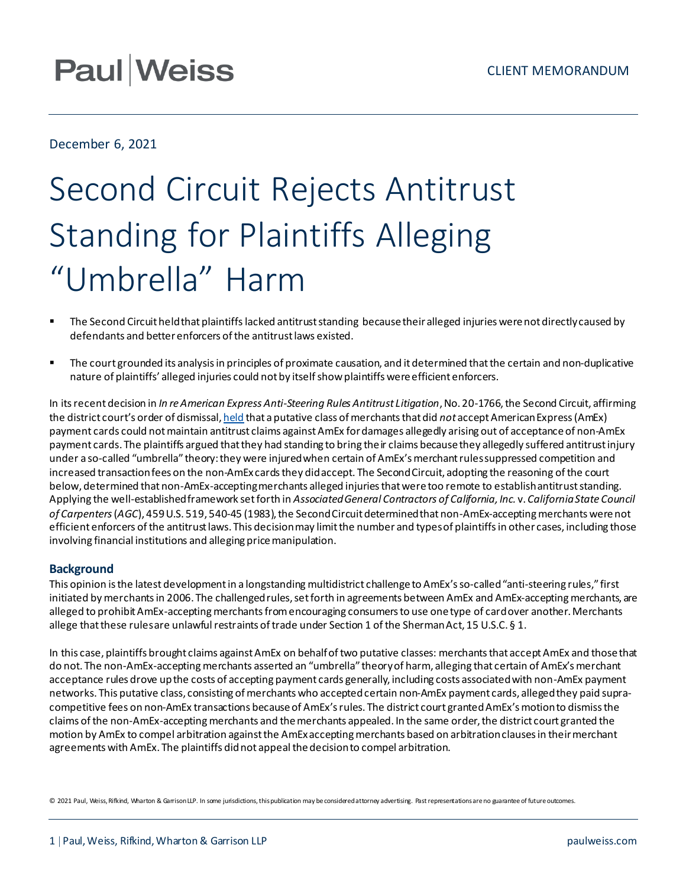## **Paul Weiss**

December 6, 2021

# Second Circuit Rejects Antitrust Standing for Plaintiffs Alleging "Umbrella" Harm

- The Second Circuit held that plaintiffs lacked antitrust standing because their alleged injuries were not directly caused by defendants and better enforcers of the antitrust laws existed.
- The court grounded its analysis in principles of proximate causation, and it determined that the certain and non-duplicative nature of plaintiffs' alleged injuries could not by itself show plaintiffs were efficient enforcers.

In its recent decision in *In reAmerican Express Anti-Steering Rules Antitrust Litigation*, No. 20-1766, the Second Circuit, affirming the district court's order of dismissal, [held](https://www.ca2.uscourts.gov/decisions/isysquery/66df0270-f195-41f5-a2f6-52e945f1e16f/6/doc/20-1766_opn.pdf#xml=https://www.ca2.uscourts.gov/decisions/isysquery/66df0270-f195-41f5-a2f6-52e945f1e16f/6/hilite/) that a putative class of merchants that did *not* accept American Express (AmEx) payment cards could not maintain antitrust claims against AmEx for damages allegedly arising out of acceptance of non-AmEx payment cards. The plaintiffs argued that they had standing to bring their claims because they allegedly suffered antitrust injury under a so-called "umbrella" theory:they were injured when certain of AmEx's merchant rules suppressed competition and increased transaction fees on the non-AmEx cards they did accept. The Second Circuit, adopting the reasoning ofthe court below, determined that non-AmEx-accepting merchants alleged injuries that were too remote to establish antitrust standing. Applying the well-established framework set forth in *Associated General Contractors of California, Inc.* v. *California State Council of Carpenters*(*AGC*), 459 U.S. 519, 540-45 (1983), the Second Circuit determined that non-AmEx-accepting merchants werenot efficient enforcers ofthe antitrust laws. This decision may limit the number and typesof plaintiffs in other cases, including those involving financial institutions and alleging price manipulation.

#### **Background**

This opinion is the latest development in a longstanding multidistrict challenge to AmEx's so-called "anti-steering rules," first initiated by merchants in 2006. The challenged rules, set forth in agreements between AmEx and AmEx-accepting merchants, are alleged to prohibit AmEx-accepting merchants from encouraging consumers to use one type of card over another. Merchants allege that these rules are unlawful restraints of trade under Section 1 of the Sherman Act, 15 U.S.C. § 1.

In this case, plaintiffs brought claims against AmEx on behalfoftwo putative classes: merchantsthat accept AmEx and those that do not. The non-AmEx-accepting merchants asserted an "umbrella" theoryof harm, alleging that certain of AmEx's merchant acceptance rules drove up the costs of accepting payment cards generally, including costs associated with non-AmEx payment networks. This putative class, consisting of merchants who accepted certain non-AmEx payment cards, alleged they paid supracompetitive fees on non-AmEx transactions becauseof AmEx'srules. The district court granted AmEx'smotionto dismiss the claims ofthe non-AmEx-accepting merchants and themerchants appealed. In the same order, the district court granted the motion by AmEx to compel arbitration against the AmEx accepting merchants based on arbitration clauses in their merchant agreements with AmEx. The plaintiffs didnot appeal the decision to compel arbitration.

© 2021 Paul, Weiss, Rifkind, Wharton & Garrison LLP. In some jurisdictions, this publication may be considered attorney advertising. Past representations are no guarantee of future outcomes.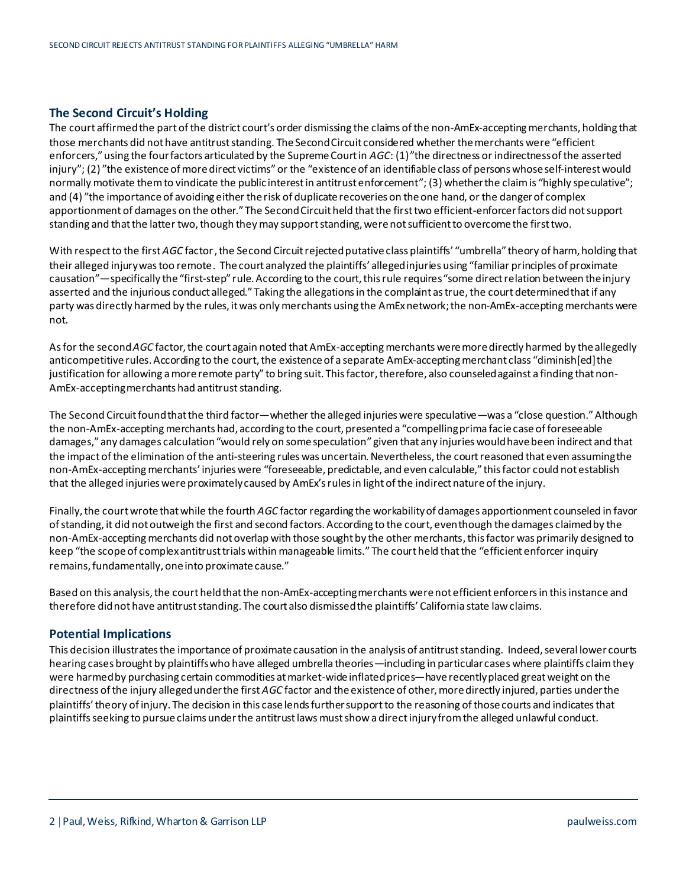### **The Second Circuit's Holding**

The court affirmed the part of the district court's order dismissing the claims of the non-AmEx-accepting merchants, holding that those merchants did not have antitrust standing. The Second Circuit considered whether the merchants were "efficient enforcers,"using the four factors articulated by the Supreme Court in *AGC*: (1)"the directness or indirectnessofthe asserted injury"; (2) "the existence of more direct victims" or the "existence of an identifiable class of persons whose self-interest would normally motivate them to vindicate the public interest in antitrust enforcement"; (3) whether the claim is "highly speculative"; and (4) "the importance of avoiding either the risk of duplicate recoveries on the one hand, or the danger of complex apportionment of damages on the other."The Second Circuit held that the first two efficient-enforcer factors did not support standing and that the latter two, though they may support standing, were not sufficient to overcome the first two.

With respect to the first *AGC* factor , the Second Circuit rejected putative class plaintiffs' "umbrella" theory of harm, holding that their alleged injury was too remote. The court analyzed the plaintiffs' alleged injuries using "familiar principles of proximate causation"—specifically the "first-step" rule.According to the court, this rule requires "some direct relation between the injury asserted and the injurious conduct alleged." Taking the allegations in the complaint as true, the court determined that if any party was directly harmed by the rules, it was only merchants using the AmExnetwork; the non-AmEx-accepting merchants were not.

As for the second *AGC* factor, the court again noted that AmEx-accepting merchants were more directly harmed by the allegedly anticompetitive rules. According to the court, the existence of a separate AmEx-accepting merchant class "diminish[ed]the justification for allowing a more remote party" to bring suit. This factor, therefore, also counseled against a finding that non-AmEx-accepting merchants had antitrust standing.

The Second Circuit found that the third factor—whether the alleged injuries were speculative—was a "close question."Although the non-AmEx-accepting merchants had, according to the court, presented a "compelling prima facie case of foreseeable damages," any damages calculation "would rely on some speculation" given that any injuries would have been indirect and that the impact of the elimination of the anti-steering rules was uncertain. Nevertheless, the court reasoned that even assuming the non-AmEx-accepting merchants' injuries were "foreseeable, predictable, and even calculable," this factor could not establish that the alleged injuries were proximately caused by AmEx's rulesin light ofthe indirect nature ofthe injury.

Finally, the courtwrote that while the fourth *AGC* factor regarding the workabilityof damages apportionment counseled in favor of standing, it did not outweigh the first and second factors. According to the court, even though the damages claimed by the non-AmEx-accepting merchants did not overlap with those sought by the other merchants, this factor was primarily designed to keep "the scope of complex antitrust trials within manageable limits." The court held that the "efficient enforcer inquiry remains, fundamentally, one into proximate cause."

Based on this analysis, the court held that the non-AmEx-accepting merchants were not efficient enforcers in this instance and therefore did not have antitrust standing. The court also dismissed the plaintiffs' California state law claims.

#### **Potential Implications**

This decision illustrates the importance of proximate causation in the analysis of antitrust standing. Indeed, several lower courts hearing cases brought by plaintiffs who have alleged umbrella theories—including in particular cases where plaintiffs claim they were harmed by purchasing certain commodities at market-wide inflated prices—have recently placed great weight on the directness ofthe injury alleged under the first *AGC* factor and the existenceof other, more directly injured, parties under the plaintiffs'theory of injury. The decision in this case lends further support to the reasoning ofthosecourts and indicatesthat plaintiffs seeking to pursue claims under the antitrust laws must show a direct injury fromthe alleged unlawful conduct.